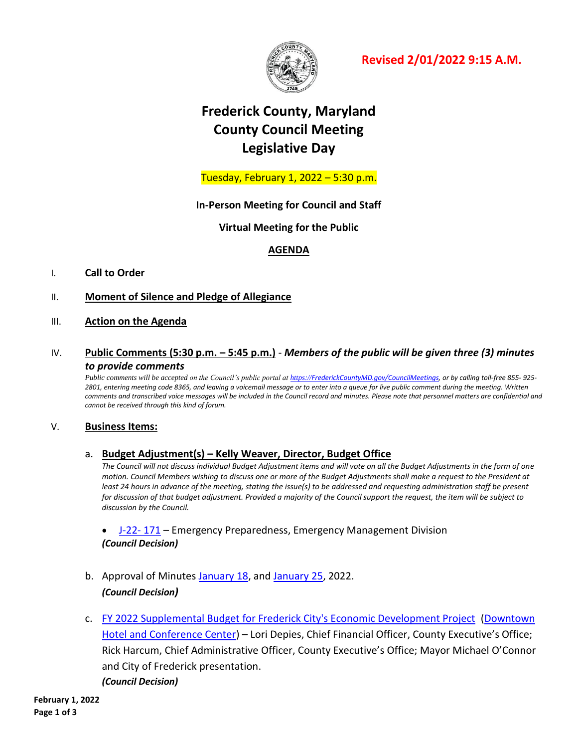

**Revised 2/01/2022 9:15 A.M.**

# **Frederick County, Maryland County Council Meeting Legislative Day**

Tuesday, February 1, 2022 – 5:30 p.m.

**In-Person Meeting for Council and Staff**

**Virtual Meeting for the Public**

# **AGENDA**

# I. **Call to Order**

- II. **Moment of Silence and Pledge of Allegiance**
- III. **Action on the Agenda**
- IV. **Public Comments (5:30 p.m. – 5:45 p.m.)** *Members of the public will be given three (3) minutes to provide comments*

*Public comments will be accepted on the Council's public portal at https://[FrederickCountyMD.gov/CouncilMeetings,](https://frederickcountymd.gov/CouncilMeetings) or by calling toll-free 855- 925- 2801, entering meeting code 8365, and leaving a voicemail message or to enter into a queue for live public comment during the meeting. Written*  comments and transcribed voice messages will be included in the Council record and minutes. Please note that personnel matters are confidential and *cannot be received through this kind of forum.*

# V. **Business Items:**

# a. **Budget Adjustment(s) – Kelly Weaver, Director, Budget Office**

*The Council will not discuss individual Budget Adjustment items and will vote on all the Budget Adjustments in the form of one motion. Council Members wishing to discuss one or more of the Budget Adjustments shall make a request to the President at least 24 hours in advance of the meeting, stating the issue(s) to be addressed and requesting administration staff be present for discussion of that budget adjustment. Provided a majority of the Council support the request, the item will be subject to discussion by the Council.*

 [J-22-](https://www.frederickcountymd.gov/DocumentCenter/View/335821/21---Budget-Journal-J-22-171---EP-EMD---CC-Mtg-02012022) 171 – Emergency Preparedness, Emergency Management Division *(Council Decision)*

- b. Approval of Minutes [January 18,](https://www.frederickcountymd.gov/DocumentCenter/View/335819/1-18-22---Meeting) an[d January 25,](https://www.frederickcountymd.gov/DocumentCenter/View/335820/1-25-22---Workshop) 2022. *(Council Decision)*
- c. [FY 2022 Supplemental Budget for Frederick City's Economic Development Project](https://www.frederickcountymd.gov/DocumentCenter/View/335757/125---FY-2022-Supplemental-Budget-for-Frederick-Citys-Economic-Development-Project---L-Depies) [\(Downtown](https://www.frederickcountymd.gov/DocumentCenter/View/335762/Downtown-Hotel-at-Caroll-Creek-Overview-1192022)  [Hotel and Conference Center\)](https://www.frederickcountymd.gov/DocumentCenter/View/335762/Downtown-Hotel-at-Caroll-Creek-Overview-1192022) – Lori Depies, Chief Financial Officer, County Executive's Office; Rick Harcum, Chief Administrative Officer, County Executive's Office; Mayor Michael O'Connor and City of Frederick presentation. *(Council Decision)*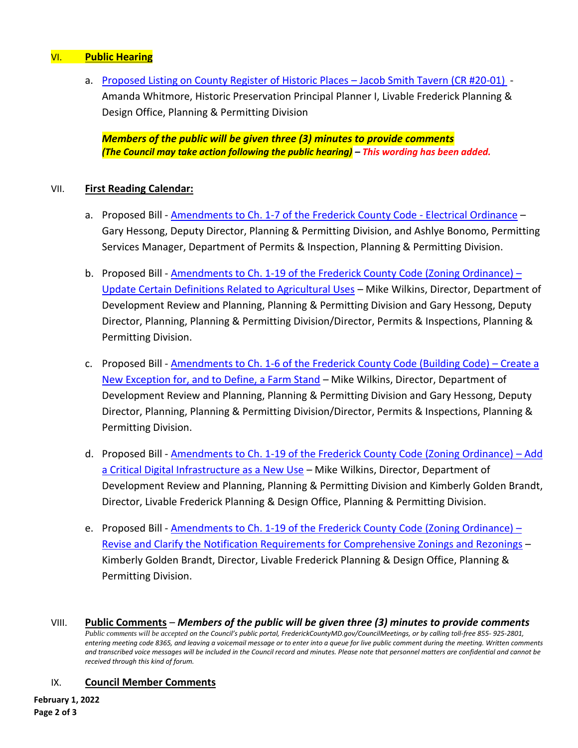# VI. **Public Hearing**

a. [Proposed Listing on County Register of Historic Places](https://www.frederickcountymd.gov/DocumentCenter/View/335822/21---Proposed-Listing-on-County-Register-of-Historic-Places---Jacob-Smith-Tavern---Planning--Permitting-Div_) – Jacob Smith Tavern (CR #20-01) - Amanda Whitmore, Historic Preservation Principal Planner I, Livable Frederick Planning & Design Office, Planning & Permitting Division

*Members of the public will be given three (3) minutes to provide comments (The Council may take action following the public hearing) – This wording has been added.*

# VII. **First Reading Calendar:**

- a. Proposed Bill [Amendments to Ch. 1-7 of the Frederick County Code -](https://www.frederickcountymd.gov/DocumentCenter/View/335823/2122-PROPOSED-BILL---Amendments-to-Chapter-1-7-of-the-Frederick-County-Code-Electrical-Ordinance) Electrical Ordinance Gary Hessong, Deputy Director, Planning & Permitting Division, and Ashlye Bonomo, Permitting Services Manager, Department of Permits & Inspection, Planning & Permitting Division.
- b. Proposed Bill [Amendments to Ch. 1-19 of the Frederick County Code \(Zoning Ordinance\)](https://www.frederickcountymd.gov/DocumentCenter/View/335751/12522-WORKSHOP---Amendments-to-Ch-1-19-of-FCG-Zoning-Ord---Update-Certain-Definitions-Related-to-Agric-Uses)  [Update Certain Definitions Related to Agricultural Uses](https://www.frederickcountymd.gov/DocumentCenter/View/335751/12522-WORKSHOP---Amendments-to-Ch-1-19-of-FCG-Zoning-Ord---Update-Certain-Definitions-Related-to-Agric-Uses) – Mike Wilkins, Director, Department of Development Review and Planning, Planning & Permitting Division and Gary Hessong, Deputy Director, Planning, Planning & Permitting Division/Director, Permits & Inspections, Planning & Permitting Division.
- c. Proposed Bill [Amendments to Ch. 1-6 of the Frederick County Code \(Building Code\)](https://www.frederickcountymd.gov/DocumentCenter/View/335752/12522-WORKSHOP---Amendments-to-Ch-1-6-of-FCG-Building-Code---Create-a-New-Exception-for-and-to-Define-a-Farm-Stand)  Create a [New Exception for, and to Define, a Farm Stand](https://www.frederickcountymd.gov/DocumentCenter/View/335752/12522-WORKSHOP---Amendments-to-Ch-1-6-of-FCG-Building-Code---Create-a-New-Exception-for-and-to-Define-a-Farm-Stand) – Mike Wilkins, Director, Department of Development Review and Planning, Planning & Permitting Division and Gary Hessong, Deputy Director, Planning, Planning & Permitting Division/Director, Permits & Inspections, Planning & Permitting Division.
- d. Proposed Bill [Amendments to Ch. 1-19 of the Frederick County Code \(Zoning Ordinance\)](https://www.frederickcountymd.gov/DocumentCenter/View/335750/12522-WORKSHOP---Amendments-to-Ch-1-19-of-FCG-Zoning-Ord---Add-Critical-Digital-Infrastructure-as-a-New-Use)  Add [a Critical Digital Infrastructure as a New Use](https://www.frederickcountymd.gov/DocumentCenter/View/335750/12522-WORKSHOP---Amendments-to-Ch-1-19-of-FCG-Zoning-Ord---Add-Critical-Digital-Infrastructure-as-a-New-Use) – Mike Wilkins, Director, Department of Development Review and Planning, Planning & Permitting Division and Kimberly Golden Brandt, Director, Livable Frederick Planning & Design Office, Planning & Permitting Division.
- e. Proposed Bill [Amendments to Ch. 1-19 of the Frederick County Code \(Zoning Ordinance\)](https://www.frederickcountymd.gov/DocumentCenter/View/335758/0125---Proposed-Bill---Amend-Ch-1-19-of-FCG-Zoning-Ord---Revise-and-Clarify-the-Notification-Requirements-for-Comprehensive-Zonings--Rezon)  [Revise and Clarify the Notification Requirements for Comprehensive Zonings and Rezonings](https://www.frederickcountymd.gov/DocumentCenter/View/335758/0125---Proposed-Bill---Amend-Ch-1-19-of-FCG-Zoning-Ord---Revise-and-Clarify-the-Notification-Requirements-for-Comprehensive-Zonings--Rezon) – Kimberly Golden Brandt, Director, Livable Frederick Planning & Design Office, Planning & Permitting Division.
- VIII. **Public Comments** *Members of the public will be given three (3) minutes to provide comments Public comments will be accepted on the Council's public portal, FrederickCountyMD.gov/CouncilMeetings, or by calling toll-free 855- 925-2801, entering meeting code 8365, and leaving a voicemail message or to enter into a queue for live public comment during the meeting. Written comments and transcribed voice messages will be included in the Council record and minutes. Please note that personnel matters are confidential and cannot be received through this kind of forum.*

# IX. **Council Member Comments**